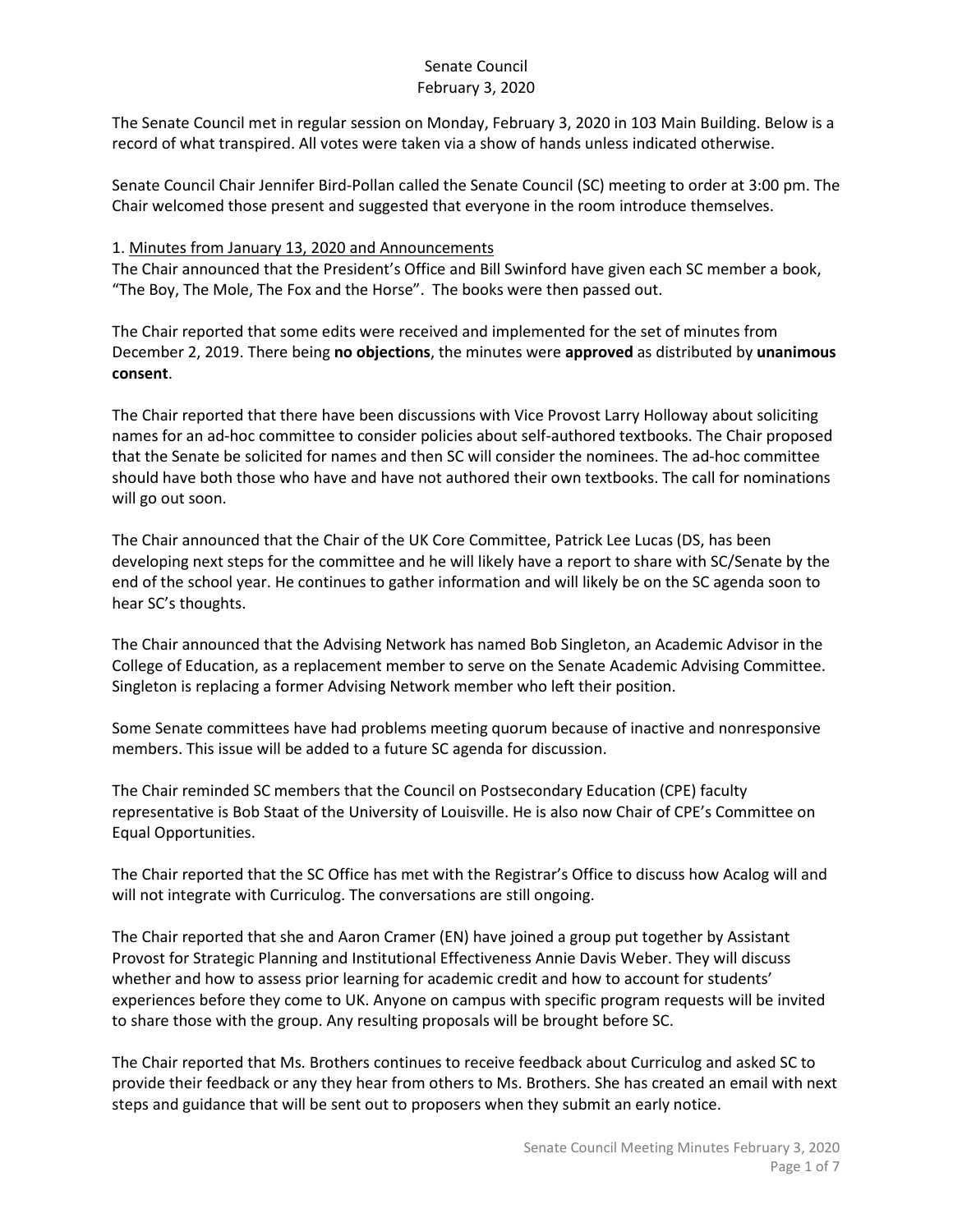The Senate Council met in regular session on Monday, February 3, 2020 in 103 Main Building. Below is a record of what transpired. All votes were taken via a show of hands unless indicated otherwise.

Senate Council Chair Jennifer Bird-Pollan called the Senate Council (SC) meeting to order at 3:00 pm. The Chair welcomed those present and suggested that everyone in the room introduce themselves.

#### 1. Minutes from January 13, 2020 and Announcements

The Chair announced that the President's Office and Bill Swinford have given each SC member a book, "The Boy, The Mole, The Fox and the Horse". The books were then passed out.

The Chair reported that some edits were received and implemented for the set of minutes from December 2, 2019. There being **no objections**, the minutes were **approved** as distributed by **unanimous consent**.

The Chair reported that there have been discussions with Vice Provost Larry Holloway about soliciting names for an ad-hoc committee to consider policies about self-authored textbooks. The Chair proposed that the Senate be solicited for names and then SC will consider the nominees. The ad-hoc committee should have both those who have and have not authored their own textbooks. The call for nominations will go out soon.

The Chair announced that the Chair of the UK Core Committee, Patrick Lee Lucas (DS, has been developing next steps for the committee and he will likely have a report to share with SC/Senate by the end of the school year. He continues to gather information and will likely be on the SC agenda soon to hear SC's thoughts.

The Chair announced that the Advising Network has named Bob Singleton, an Academic Advisor in the College of Education, as a replacement member to serve on the Senate Academic Advising Committee. Singleton is replacing a former Advising Network member who left their position.

Some Senate committees have had problems meeting quorum because of inactive and nonresponsive members. This issue will be added to a future SC agenda for discussion.

The Chair reminded SC members that the Council on Postsecondary Education (CPE) faculty representative is Bob Staat of the University of Louisville. He is also now Chair of CPE's Committee on Equal Opportunities.

The Chair reported that the SC Office has met with the Registrar's Office to discuss how Acalog will and will not integrate with Curriculog. The conversations are still ongoing.

The Chair reported that she and Aaron Cramer (EN) have joined a group put together by Assistant Provost for Strategic Planning and Institutional Effectiveness Annie Davis Weber. They will discuss whether and how to assess prior learning for academic credit and how to account for students' experiences before they come to UK. Anyone on campus with specific program requests will be invited to share those with the group. Any resulting proposals will be brought before SC.

The Chair reported that Ms. Brothers continues to receive feedback about Curriculog and asked SC to provide their feedback or any they hear from others to Ms. Brothers. She has created an email with next steps and guidance that will be sent out to proposers when they submit an early notice.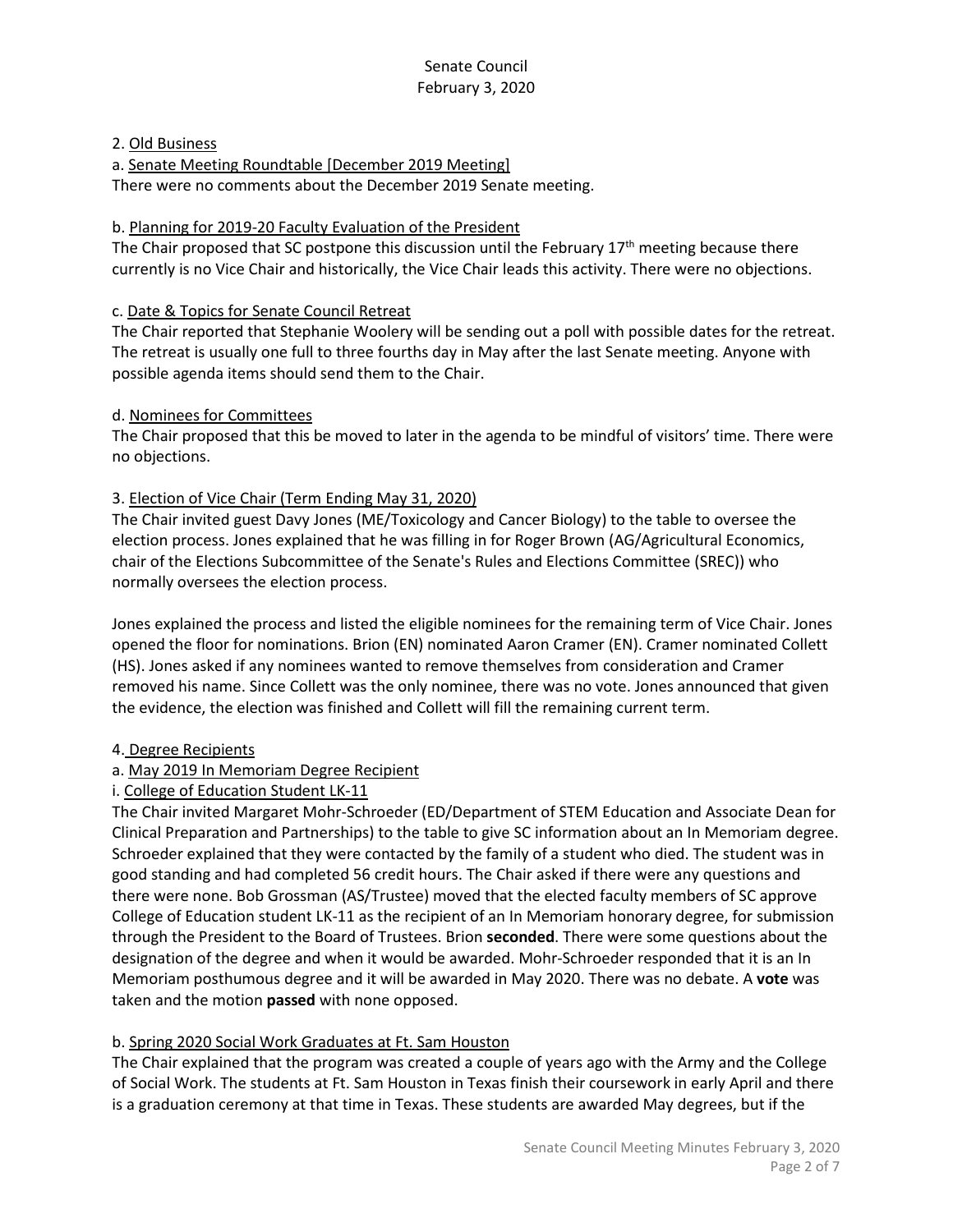#### 2. Old Business

a. Senate Meeting Roundtable [December 2019 Meeting] There were no comments about the December 2019 Senate meeting.

#### b. Planning for 2019-20 Faculty Evaluation of the President

The Chair proposed that SC postpone this discussion until the February  $17<sup>th</sup>$  meeting because there currently is no Vice Chair and historically, the Vice Chair leads this activity. There were no objections.

#### c. Date & Topics for Senate Council Retreat

The Chair reported that Stephanie Woolery will be sending out a poll with possible dates for the retreat. The retreat is usually one full to three fourths day in May after the last Senate meeting. Anyone with possible agenda items should send them to the Chair.

#### d. Nominees for Committees

The Chair proposed that this be moved to later in the agenda to be mindful of visitors' time. There were no objections.

#### 3. Election of Vice Chair (Term Ending May 31, 2020)

The Chair invited guest Davy Jones (ME/Toxicology and Cancer Biology) to the table to oversee the election process. Jones explained that he was filling in for Roger Brown (AG/Agricultural Economics, chair of the Elections Subcommittee of the Senate's Rules and Elections Committee (SREC)) who normally oversees the election process.

Jones explained the process and listed the eligible nominees for the remaining term of Vice Chair. Jones opened the floor for nominations. Brion (EN) nominated Aaron Cramer (EN). Cramer nominated Collett (HS). Jones asked if any nominees wanted to remove themselves from consideration and Cramer removed his name. Since Collett was the only nominee, there was no vote. Jones announced that given the evidence, the election was finished and Collett will fill the remaining current term.

## 4. Degree Recipients

## a. May 2019 In Memoriam Degree Recipient

## i. College of Education Student LK-11

The Chair invited Margaret Mohr-Schroeder (ED/Department of STEM Education and Associate Dean for Clinical Preparation and Partnerships) to the table to give SC information about an In Memoriam degree. Schroeder explained that they were contacted by the family of a student who died. The student was in good standing and had completed 56 credit hours. The Chair asked if there were any questions and there were none. Bob Grossman (AS/Trustee) moved that the elected faculty members of SC approve College of Education student LK-11 as the recipient of an In Memoriam honorary degree, for submission through the President to the Board of Trustees. Brion **seconded**. There were some questions about the designation of the degree and when it would be awarded. Mohr-Schroeder responded that it is an In Memoriam posthumous degree and it will be awarded in May 2020. There was no debate. A **vote** was taken and the motion **passed** with none opposed.

#### b. Spring 2020 Social Work Graduates at Ft. Sam Houston

The Chair explained that the program was created a couple of years ago with the Army and the College of Social Work. The students at Ft. Sam Houston in Texas finish their coursework in early April and there is a graduation ceremony at that time in Texas. These students are awarded May degrees, but if the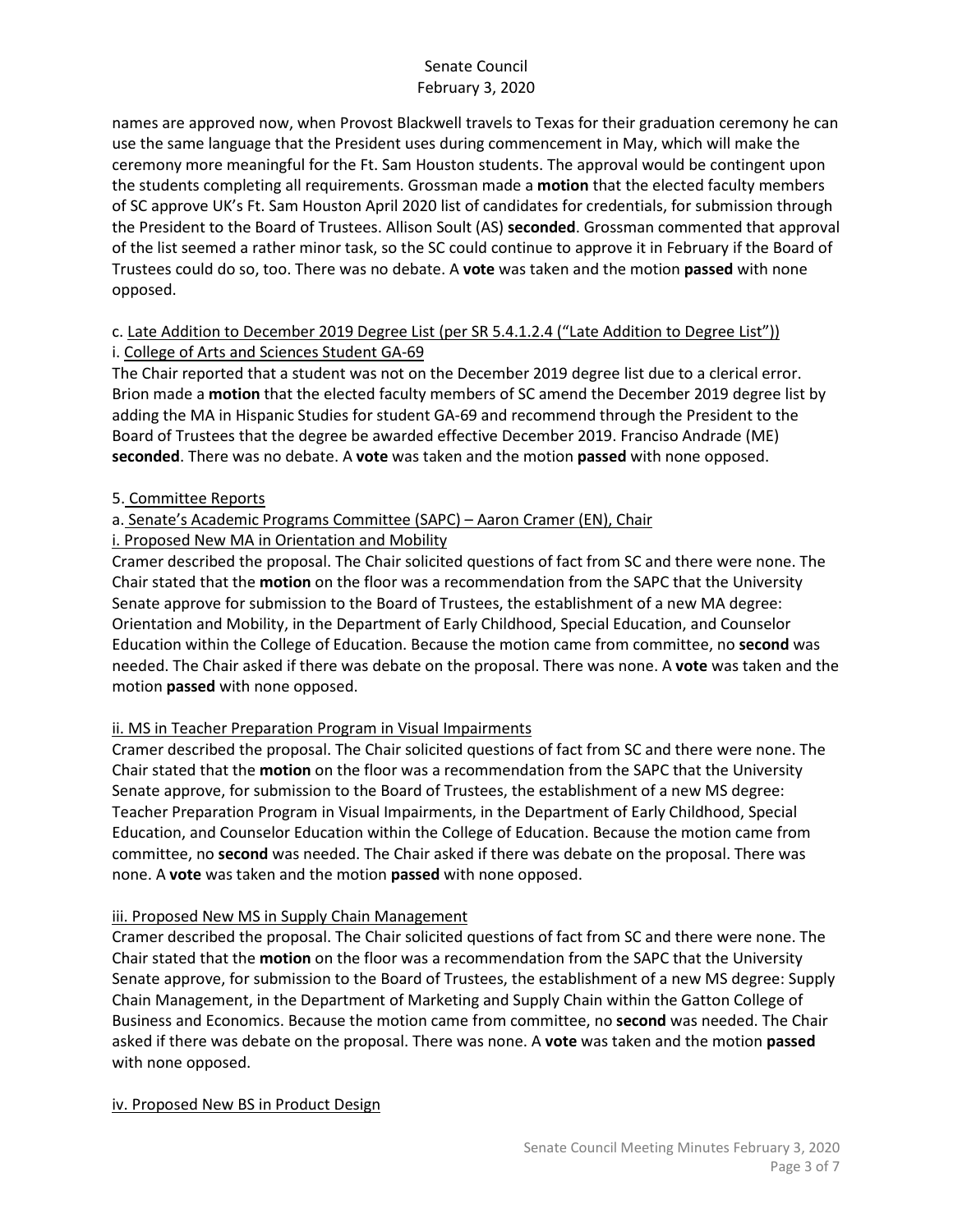names are approved now, when Provost Blackwell travels to Texas for their graduation ceremony he can use the same language that the President uses during commencement in May, which will make the ceremony more meaningful for the Ft. Sam Houston students. The approval would be contingent upon the students completing all requirements. Grossman made a **motion** that the elected faculty members of SC approve UK's Ft. Sam Houston April 2020 list of candidates for credentials, for submission through the President to the Board of Trustees. Allison Soult (AS) **seconded**. Grossman commented that approval of the list seemed a rather minor task, so the SC could continue to approve it in February if the Board of Trustees could do so, too. There was no debate. A **vote** was taken and the motion **passed** with none opposed.

# c. Late Addition to December 2019 Degree List (per SR 5.4.1.2.4 ("Late Addition to Degree List")) i. College of Arts and Sciences Student GA-69

The Chair reported that a student was not on the December 2019 degree list due to a clerical error. Brion made a **motion** that the elected faculty members of SC amend the December 2019 degree list by adding the MA in Hispanic Studies for student GA-69 and recommend through the President to the Board of Trustees that the degree be awarded effective December 2019. Franciso Andrade (ME) **seconded**. There was no debate. A **vote** was taken and the motion **passed** with none opposed.

# 5. Committee Reports

# a. Senate's Academic Programs Committee (SAPC) – Aaron Cramer (EN), Chair

# i. Proposed New MA in Orientation and Mobility

Cramer described the proposal. The Chair solicited questions of fact from SC and there were none. The Chair stated that the **motion** on the floor was a recommendation from the SAPC that the University Senate approve for submission to the Board of Trustees, the establishment of a new MA degree: Orientation and Mobility, in the Department of Early Childhood, Special Education, and Counselor Education within the College of Education. Because the motion came from committee, no **second** was needed. The Chair asked if there was debate on the proposal. There was none. A **vote** was taken and the motion **passed** with none opposed.

# ii. MS in Teacher Preparation Program in Visual Impairments

Cramer described the proposal. The Chair solicited questions of fact from SC and there were none. The Chair stated that the **motion** on the floor was a recommendation from the SAPC that the University Senate approve, for submission to the Board of Trustees, the establishment of a new MS degree: Teacher Preparation Program in Visual Impairments, in the Department of Early Childhood, Special Education, and Counselor Education within the College of Education. Because the motion came from committee, no **second** was needed. The Chair asked if there was debate on the proposal. There was none. A **vote** was taken and the motion **passed** with none opposed.

## iii. Proposed New MS in Supply Chain Management

Cramer described the proposal. The Chair solicited questions of fact from SC and there were none. The Chair stated that the **motion** on the floor was a recommendation from the SAPC that the University Senate approve, for submission to the Board of Trustees, the establishment of a new MS degree: Supply Chain Management, in the Department of Marketing and Supply Chain within the Gatton College of Business and Economics. Because the motion came from committee, no **second** was needed. The Chair asked if there was debate on the proposal. There was none. A **vote** was taken and the motion **passed**  with none opposed.

## iv. Proposed New BS in Product Design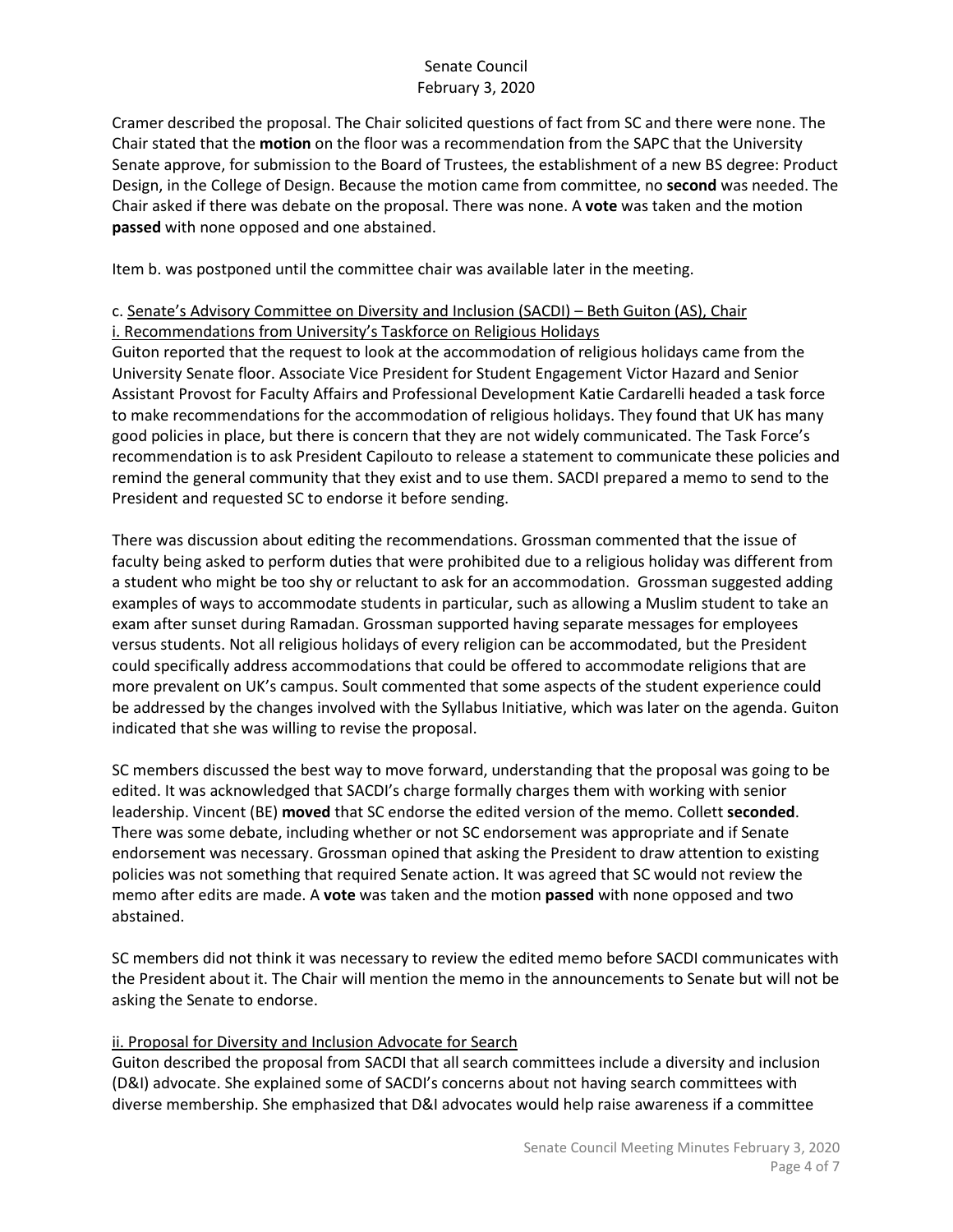Cramer described the proposal. The Chair solicited questions of fact from SC and there were none. The Chair stated that the **motion** on the floor was a recommendation from the SAPC that the University Senate approve, for submission to the Board of Trustees, the establishment of a new BS degree: Product Design, in the College of Design. Because the motion came from committee, no **second** was needed. The Chair asked if there was debate on the proposal. There was none. A **vote** was taken and the motion **passed** with none opposed and one abstained.

Item b. was postponed until the committee chair was available later in the meeting.

## c. Senate's Advisory Committee on Diversity and Inclusion (SACDI) – Beth Guiton (AS), Chair i. Recommendations from University's Taskforce on Religious Holidays

Guiton reported that the request to look at the accommodation of religious holidays came from the University Senate floor. Associate Vice President for Student Engagement Victor Hazard and Senior Assistant Provost for Faculty Affairs and Professional Development Katie Cardarelli headed a task force to make recommendations for the accommodation of religious holidays. They found that UK has many good policies in place, but there is concern that they are not widely communicated. The Task Force's recommendation is to ask President Capilouto to release a statement to communicate these policies and remind the general community that they exist and to use them. SACDI prepared a memo to send to the President and requested SC to endorse it before sending.

There was discussion about editing the recommendations. Grossman commented that the issue of faculty being asked to perform duties that were prohibited due to a religious holiday was different from a student who might be too shy or reluctant to ask for an accommodation. Grossman suggested adding examples of ways to accommodate students in particular, such as allowing a Muslim student to take an exam after sunset during Ramadan. Grossman supported having separate messages for employees versus students. Not all religious holidays of every religion can be accommodated, but the President could specifically address accommodations that could be offered to accommodate religions that are more prevalent on UK's campus. Soult commented that some aspects of the student experience could be addressed by the changes involved with the Syllabus Initiative, which was later on the agenda. Guiton indicated that she was willing to revise the proposal.

SC members discussed the best way to move forward, understanding that the proposal was going to be edited. It was acknowledged that SACDI's charge formally charges them with working with senior leadership. Vincent (BE) **moved** that SC endorse the edited version of the memo. Collett **seconded**. There was some debate, including whether or not SC endorsement was appropriate and if Senate endorsement was necessary. Grossman opined that asking the President to draw attention to existing policies was not something that required Senate action. It was agreed that SC would not review the memo after edits are made. A **vote** was taken and the motion **passed** with none opposed and two abstained.

SC members did not think it was necessary to review the edited memo before SACDI communicates with the President about it. The Chair will mention the memo in the announcements to Senate but will not be asking the Senate to endorse.

## ii. Proposal for Diversity and Inclusion Advocate for Search

Guiton described the proposal from SACDI that all search committees include a diversity and inclusion (D&I) advocate. She explained some of SACDI's concerns about not having search committees with diverse membership. She emphasized that D&I advocates would help raise awareness if a committee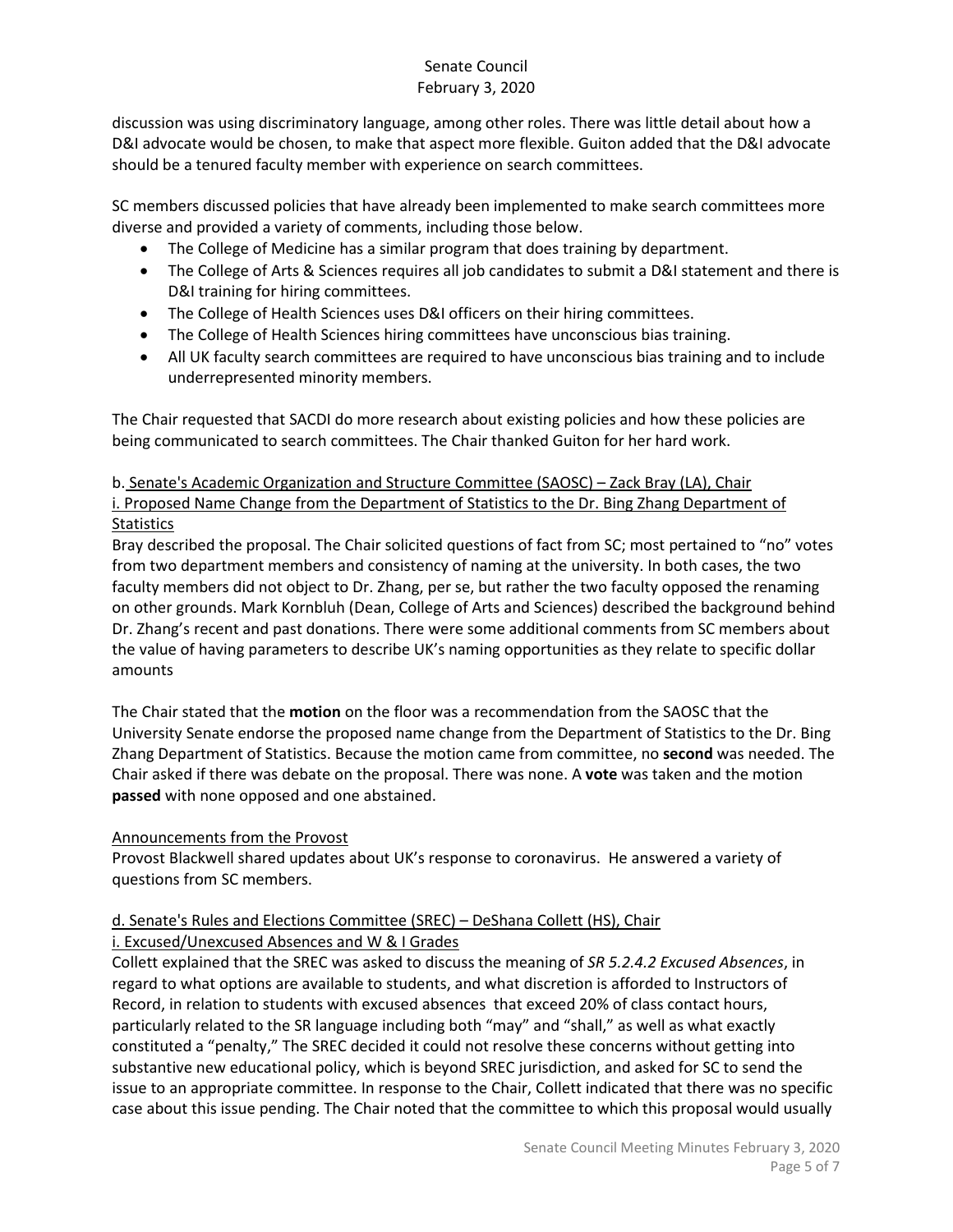discussion was using discriminatory language, among other roles. There was little detail about how a D&I advocate would be chosen, to make that aspect more flexible. Guiton added that the D&I advocate should be a tenured faculty member with experience on search committees.

SC members discussed policies that have already been implemented to make search committees more diverse and provided a variety of comments, including those below.

- The College of Medicine has a similar program that does training by department.
- The College of Arts & Sciences requires all job candidates to submit a D&I statement and there is D&I training for hiring committees.
- The College of Health Sciences uses D&I officers on their hiring committees.
- The College of Health Sciences hiring committees have unconscious bias training.
- All UK faculty search committees are required to have unconscious bias training and to include underrepresented minority members.

The Chair requested that SACDI do more research about existing policies and how these policies are being communicated to search committees. The Chair thanked Guiton for her hard work.

# b. Senate's Academic Organization and Structure Committee (SAOSC) – Zack Bray (LA), Chair i. Proposed Name Change from the Department of Statistics to the Dr. Bing Zhang Department of **Statistics**

Bray described the proposal. The Chair solicited questions of fact from SC; most pertained to "no" votes from two department members and consistency of naming at the university. In both cases, the two faculty members did not object to Dr. Zhang, per se, but rather the two faculty opposed the renaming on other grounds. Mark Kornbluh (Dean, College of Arts and Sciences) described the background behind Dr. Zhang's recent and past donations. There were some additional comments from SC members about the value of having parameters to describe UK's naming opportunities as they relate to specific dollar amounts

The Chair stated that the **motion** on the floor was a recommendation from the SAOSC that the University Senate endorse the proposed name change from the Department of Statistics to the Dr. Bing Zhang Department of Statistics. Because the motion came from committee, no **second** was needed. The Chair asked if there was debate on the proposal. There was none. A **vote** was taken and the motion **passed** with none opposed and one abstained.

# Announcements from the Provost

Provost Blackwell shared updates about UK's response to coronavirus. He answered a variety of questions from SC members.

# d. Senate's Rules and Elections Committee (SREC) – DeShana Collett (HS), Chair

# i. Excused/Unexcused Absences and W & I Grades

Collett explained that the SREC was asked to discuss the meaning of *SR 5.2.4.2 Excused Absences*, in regard to what options are available to students, and what discretion is afforded to Instructors of Record, in relation to students with excused absences that exceed 20% of class contact hours, particularly related to the SR language including both "may" and "shall," as well as what exactly constituted a "penalty," The SREC decided it could not resolve these concerns without getting into substantive new educational policy, which is beyond SREC jurisdiction, and asked for SC to send the issue to an appropriate committee. In response to the Chair, Collett indicated that there was no specific case about this issue pending. The Chair noted that the committee to which this proposal would usually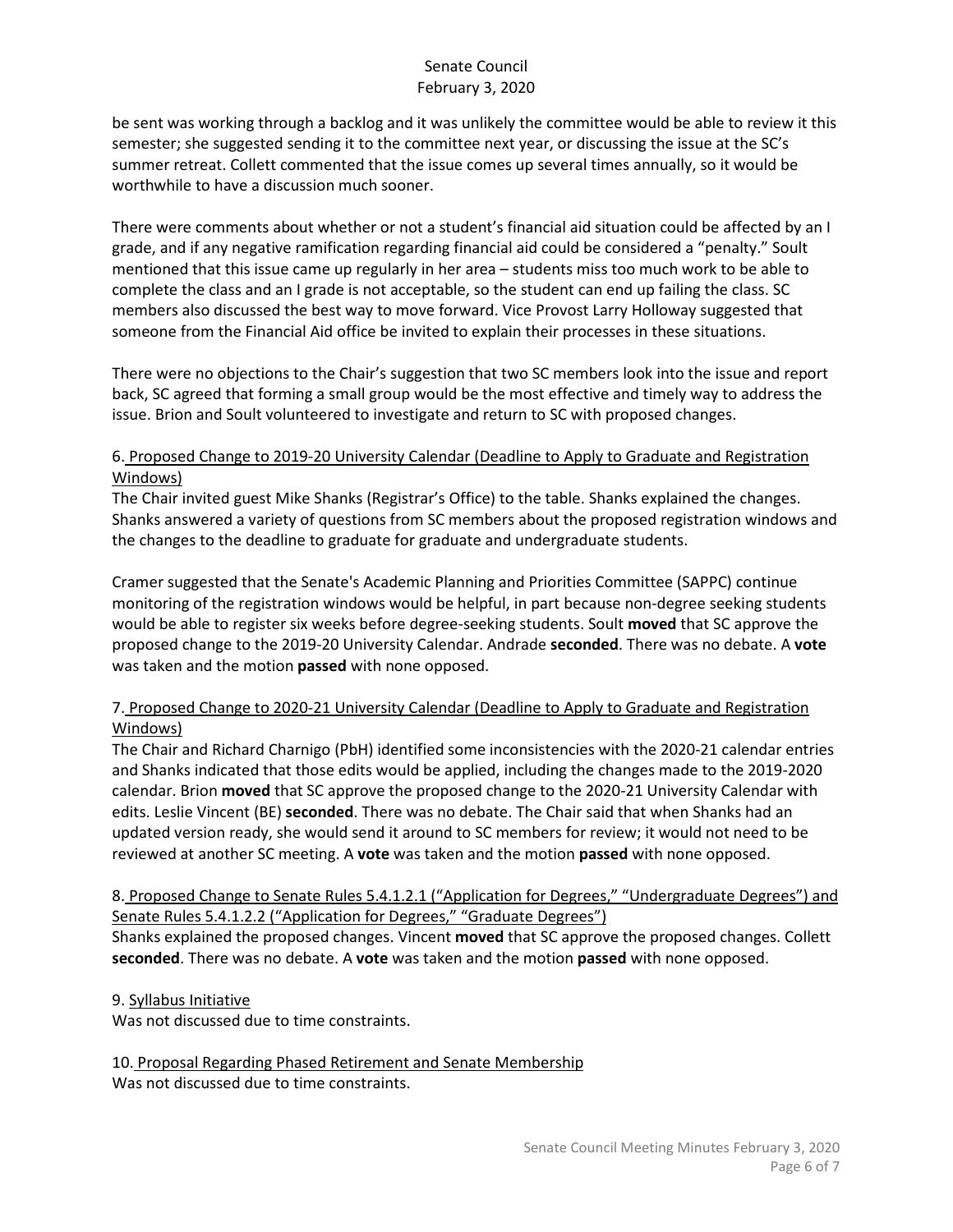be sent was working through a backlog and it was unlikely the committee would be able to review it this semester; she suggested sending it to the committee next year, or discussing the issue at the SC's summer retreat. Collett commented that the issue comes up several times annually, so it would be worthwhile to have a discussion much sooner.

There were comments about whether or not a student's financial aid situation could be affected by an I grade, and if any negative ramification regarding financial aid could be considered a "penalty." Soult mentioned that this issue came up regularly in her area – students miss too much work to be able to complete the class and an I grade is not acceptable, so the student can end up failing the class. SC members also discussed the best way to move forward. Vice Provost Larry Holloway suggested that someone from the Financial Aid office be invited to explain their processes in these situations.

There were no objections to the Chair's suggestion that two SC members look into the issue and report back, SC agreed that forming a small group would be the most effective and timely way to address the issue. Brion and Soult volunteered to investigate and return to SC with proposed changes.

#### 6. Proposed Change to 2019-20 University Calendar (Deadline to Apply to Graduate and Registration Windows)

The Chair invited guest Mike Shanks (Registrar's Office) to the table. Shanks explained the changes. Shanks answered a variety of questions from SC members about the proposed registration windows and the changes to the deadline to graduate for graduate and undergraduate students.

Cramer suggested that the Senate's Academic Planning and Priorities Committee (SAPPC) continue monitoring of the registration windows would be helpful, in part because non-degree seeking students would be able to register six weeks before degree-seeking students. Soult **moved** that SC approve the proposed change to the 2019-20 University Calendar. Andrade **seconded**. There was no debate. A **vote**  was taken and the motion **passed** with none opposed.

# 7. Proposed Change to 2020-21 University Calendar (Deadline to Apply to Graduate and Registration Windows)

The Chair and Richard Charnigo (PbH) identified some inconsistencies with the 2020-21 calendar entries and Shanks indicated that those edits would be applied, including the changes made to the 2019-2020 calendar. Brion **moved** that SC approve the proposed change to the 2020-21 University Calendar with edits. Leslie Vincent (BE) **seconded**. There was no debate. The Chair said that when Shanks had an updated version ready, she would send it around to SC members for review; it would not need to be reviewed at another SC meeting. A **vote** was taken and the motion **passed** with none opposed.

8. Proposed Change to Senate Rules 5.4.1.2.1 ("Application for Degrees," "Undergraduate Degrees") and Senate Rules 5.4.1.2.2 ("Application for Degrees," "Graduate Degrees")

Shanks explained the proposed changes. Vincent **moved** that SC approve the proposed changes. Collett **seconded**. There was no debate. A **vote** was taken and the motion **passed** with none opposed.

## 9. Syllabus Initiative

Was not discussed due to time constraints.

10. Proposal Regarding Phased Retirement and Senate Membership Was not discussed due to time constraints.